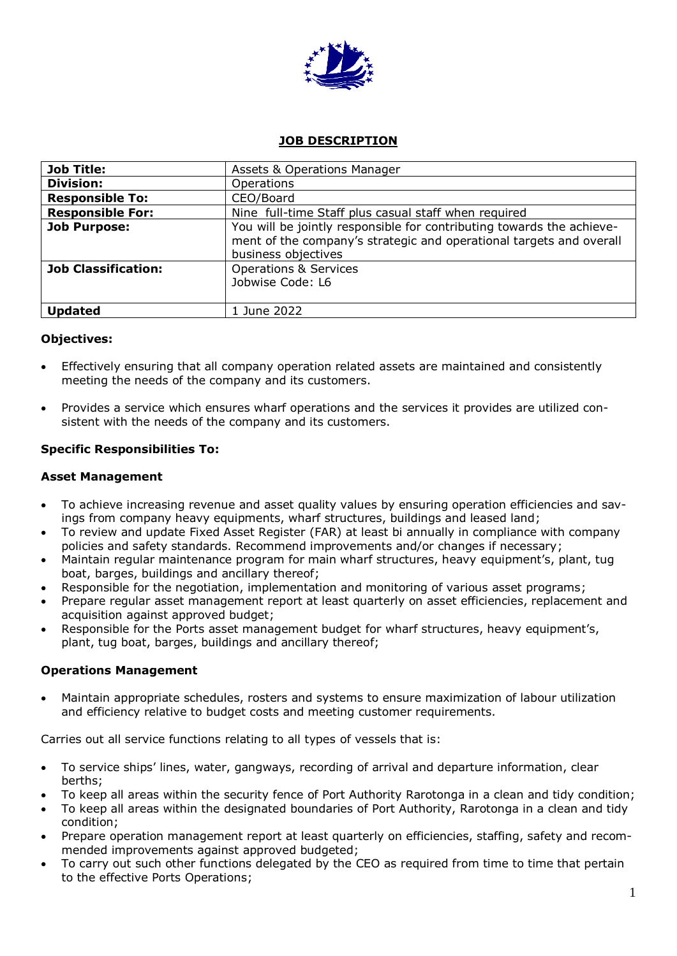

# **JOB DESCRIPTION**

| <b>Job Title:</b>          | <b>Assets &amp; Operations Manager</b>                                                                                                                              |
|----------------------------|---------------------------------------------------------------------------------------------------------------------------------------------------------------------|
| <b>Division:</b>           | Operations                                                                                                                                                          |
| <b>Responsible To:</b>     | CEO/Board                                                                                                                                                           |
| <b>Responsible For:</b>    | Nine full-time Staff plus casual staff when required                                                                                                                |
| <b>Job Purpose:</b>        | You will be jointly responsible for contributing towards the achieve-<br>ment of the company's strategic and operational targets and overall<br>business objectives |
| <b>Job Classification:</b> | <b>Operations &amp; Services</b><br>Jobwise Code: L6                                                                                                                |
| <b>Updated</b>             | 1 June 2022                                                                                                                                                         |

## **Objectives:**

- Effectively ensuring that all company operation related assets are maintained and consistently meeting the needs of the company and its customers.
- Provides a service which ensures wharf operations and the services it provides are utilized consistent with the needs of the company and its customers.

# **Specific Responsibilities To:**

## **Asset Management**

- To achieve increasing revenue and asset quality values by ensuring operation efficiencies and savings from company heavy equipments, wharf structures, buildings and leased land;
- To review and update Fixed Asset Register (FAR) at least bi annually in compliance with company policies and safety standards. Recommend improvements and/or changes if necessary;
- Maintain regular maintenance program for main wharf structures, heavy equipment's, plant, tug boat, barges, buildings and ancillary thereof;
- Responsible for the negotiation, implementation and monitoring of various asset programs;
- Prepare regular asset management report at least quarterly on asset efficiencies, replacement and acquisition against approved budget;
- Responsible for the Ports asset management budget for wharf structures, heavy equipment's, plant, tug boat, barges, buildings and ancillary thereof;

## **Operations Management**

 Maintain appropriate schedules, rosters and systems to ensure maximization of labour utilization and efficiency relative to budget costs and meeting customer requirements.

Carries out all service functions relating to all types of vessels that is:

- To service ships' lines, water, gangways, recording of arrival and departure information, clear berths;
- To keep all areas within the security fence of Port Authority Rarotonga in a clean and tidy condition;
- To keep all areas within the designated boundaries of Port Authority, Rarotonga in a clean and tidy condition;
- Prepare operation management report at least quarterly on efficiencies, staffing, safety and recommended improvements against approved budgeted;
- To carry out such other functions delegated by the CEO as required from time to time that pertain to the effective Ports Operations;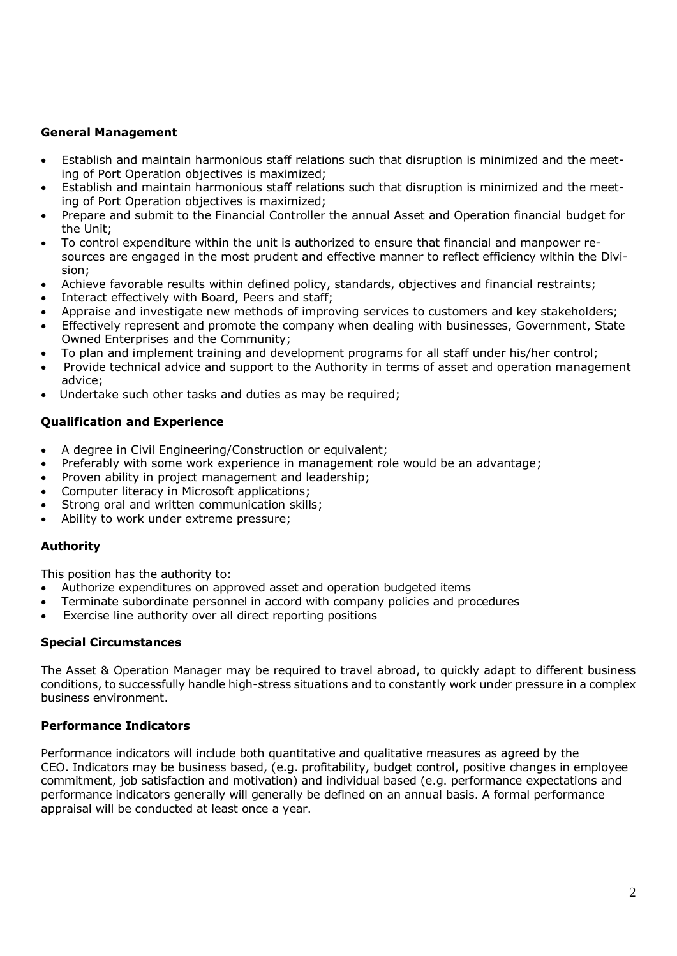# **General Management**

- Establish and maintain harmonious staff relations such that disruption is minimized and the meeting of Port Operation objectives is maximized;
- Establish and maintain harmonious staff relations such that disruption is minimized and the meeting of Port Operation objectives is maximized;
- Prepare and submit to the Financial Controller the annual Asset and Operation financial budget for the Unit;
- To control expenditure within the unit is authorized to ensure that financial and manpower resources are engaged in the most prudent and effective manner to reflect efficiency within the Division;
- Achieve favorable results within defined policy, standards, objectives and financial restraints;
- Interact effectively with Board, Peers and staff;
- Appraise and investigate new methods of improving services to customers and key stakeholders;
- Effectively represent and promote the company when dealing with businesses, Government, State Owned Enterprises and the Community;
- To plan and implement training and development programs for all staff under his/her control;
- Provide technical advice and support to the Authority in terms of asset and operation management advice;
- Undertake such other tasks and duties as may be required;

## **Qualification and Experience**

- A degree in Civil Engineering/Construction or equivalent;
- Preferably with some work experience in management role would be an advantage;
- Proven ability in project management and leadership;
- Computer literacy in Microsoft applications;
- Strong oral and written communication skills;
- Ability to work under extreme pressure;

## **Authority**

This position has the authority to:

- Authorize expenditures on approved asset and operation budgeted items
- Terminate subordinate personnel in accord with company policies and procedures
- Exercise line authority over all direct reporting positions

## **Special Circumstances**

The Asset & Operation Manager may be required to travel abroad, to quickly adapt to different business conditions, to successfully handle high-stress situations and to constantly work under pressure in a complex business environment.

## **Performance Indicators**

Performance indicators will include both quantitative and qualitative measures as agreed by the CEO. Indicators may be business based, (e.g. profitability, budget control, positive changes in employee commitment, job satisfaction and motivation) and individual based (e.g. performance expectations and performance indicators generally will generally be defined on an annual basis. A formal performance appraisal will be conducted at least once a year.